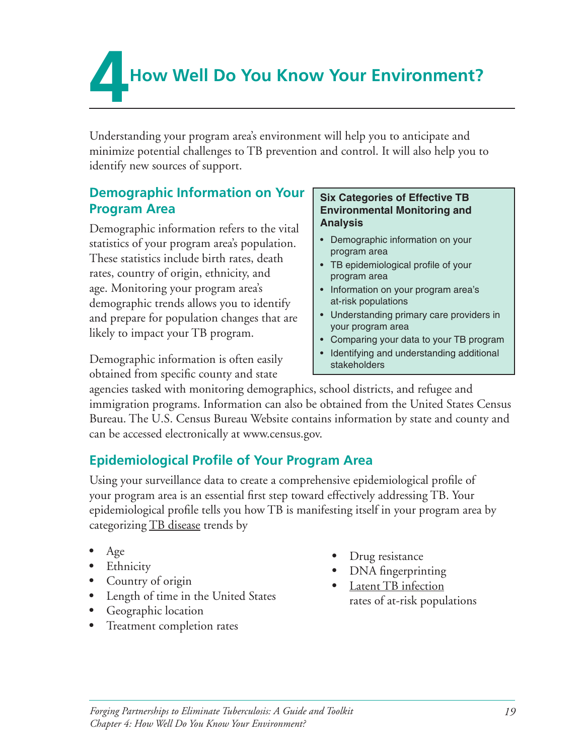**4How Well Do You Know Your Environment?** 

Understanding your program area's environment will help you to anticipate and minimize potential challenges to TB prevention and control. It will also help you to identify new sources of support.

# **Demographic Information on Your Program Area**

Demographic information refers to the vital statistics of your program area's population. These statistics include birth rates, death rates, country of origin, ethnicity, and age. Monitoring your program area's demographic trends allows you to identify and prepare for population changes that are likely to impact your TB program.

Demographic information is often easily obtained from specific county and state

#### **Six Categories of Effective TB Environmental Monitoring and Analysis**

- • Demographic information on your program area
- TB epidemiological profile of your program area
- Information on your program area's at-risk populations
- Understanding primary care providers in your program area
- • Comparing your data to your TB program
- Identifying and understanding additional stakeholders

agencies tasked with monitoring demographics, school districts, and refugee and immigration programs. Information can also be obtained from the United States Census Bureau. The U.S. Census Bureau Website contains information by state and county and can be accessed electronically at www.census.gov.

# **Epidemiological Profile of Your Program Area**

Using your surveillance data to create a comprehensive epidemiological profile of your program area is an essential first step toward effectively addressing TB. Your epidemiological profile tells you how TB is manifesting itself in your program area by categorizing  $TB$  disease trends by

- Age
- Ethnicity
- Country of origin
- Length of time in the United States
- Geographic location
- Treatment completion rates
- Drug resistance
- DNA fingerprinting
- Latent TB infection rates of at-risk populations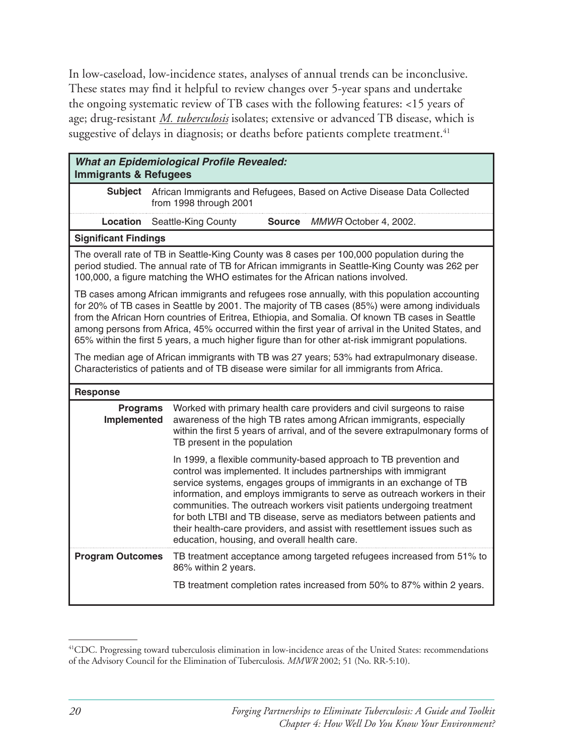In low-caseload, low-incidence states, analyses of annual trends can be inconclusive. These states may find it helpful to review changes over 5-year spans and undertake the ongoing systematic review of TB cases with the following features:  $\langle 15 \rangle$  years of age; drug-resistant *M. tuberculosis* isolates; extensive or advanced TB disease, which is suggestive of delays in diagnosis; or deaths before patients complete treatment.<sup>41</sup>

## *What an Epidemiological Profile Revealed:*  **Immigrants & Refugees**

**Subject** African Immigrants and Refugees, Based on Active Disease Data Collected from 1998 through 2001

**Location** Seattle-King County **Source** *MMWR* October 4, 2002*.* 

#### **Significant Findings**

The overall rate of TB in Seattle-King County was 8 cases per 100,000 population during the period studied. The annual rate of TB for African immigrants in Seattle-King County was 262 per 100,000, a figure matching the WHO estimates for the African nations involved.

TB cases among African immigrants and refugees rose annually, with this population accounting for 20% of TB cases in Seattle by 2001. The majority of TB cases (85%) were among individuals from the African Horn countries of Eritrea, Ethiopia, and Somalia. Of known TB cases in Seattle among persons from Africa, 45% occurred within the first year of arrival in the United States, and 65% within the first 5 years, a much higher figure than for other at-risk immigrant populations.

The median age of African immigrants with TB was 27 years; 53% had extrapulmonary disease. Characteristics of patients and of TB disease were similar for all immigrants from Africa.

| <b>Response</b>                |                                                                                                                                                                                                                                                                                                                                                                                                                                                                                                                                                                        |
|--------------------------------|------------------------------------------------------------------------------------------------------------------------------------------------------------------------------------------------------------------------------------------------------------------------------------------------------------------------------------------------------------------------------------------------------------------------------------------------------------------------------------------------------------------------------------------------------------------------|
| <b>Programs</b><br>Implemented | Worked with primary health care providers and civil surgeons to raise<br>awareness of the high TB rates among African immigrants, especially<br>within the first 5 years of arrival, and of the severe extrapulmonary forms of<br>TB present in the population                                                                                                                                                                                                                                                                                                         |
|                                | In 1999, a flexible community-based approach to TB prevention and<br>control was implemented. It includes partnerships with immigrant<br>service systems, engages groups of immigrants in an exchange of TB<br>information, and employs immigrants to serve as outreach workers in their<br>communities. The outreach workers visit patients undergoing treatment<br>for both LTBI and TB disease, serve as mediators between patients and<br>their health-care providers, and assist with resettlement issues such as<br>education, housing, and overall health care. |
| <b>Program Outcomes</b>        | TB treatment acceptance among targeted refugees increased from 51% to<br>86% within 2 years.                                                                                                                                                                                                                                                                                                                                                                                                                                                                           |
|                                | TB treatment completion rates increased from 50% to 87% within 2 years.                                                                                                                                                                                                                                                                                                                                                                                                                                                                                                |

<sup>&</sup>lt;sup>41</sup>CDC. Progressing toward tuberculosis elimination in low-incidence areas of the United States: recommendations of the Advisory Council for the Elimination of Tuberculosis.  $MMWR$  2002; 51 (No. RR-5:10).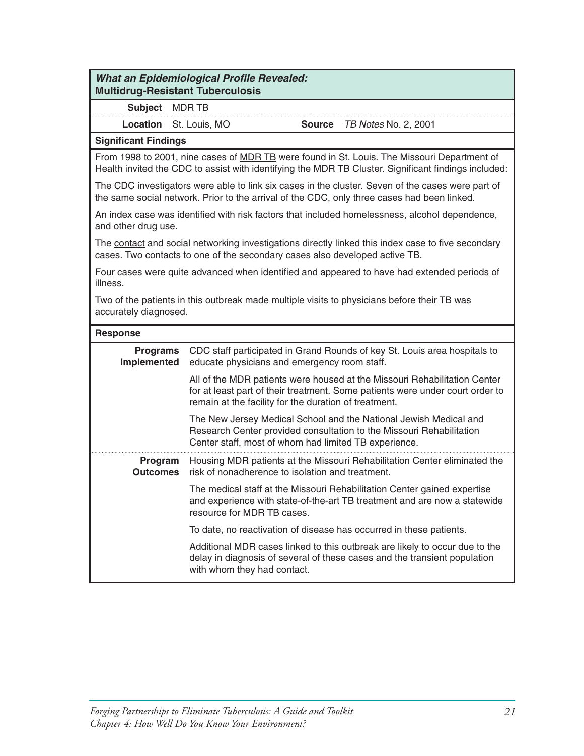#### *What an Epidemiological Profile Revealed:*  **Multidrug-Resistant Tuberculosis**

**Subject** MDR TB

**Location** St. Louis, MO **Source** *TB Notes* No. 2, 2001

#### **Significant Findings**

From 1998 to 2001, nine cases of MDR TB were found in St. Louis. The Missouri Department of Health invited the CDC to assist with identifying the MDR TB Cluster. Significant findings included:

The CDC investigators were able to link six cases in the cluster. Seven of the cases were part of the same social network. Prior to the arrival of the CDC, only three cases had been linked.

An index case was identified with risk factors that included homelessness, alcohol dependence, and other drug use.

The contact and social networking investigations directly linked this index case to five secondary cases. Two contacts to one of the secondary cases also developed active TB.

Four cases were quite advanced when identified and appeared to have had extended periods of illness.

Two of the patients in this outbreak made multiple visits to physicians before their TB was accurately diagnosed.

#### **Response**

| nesponse                       |                                                                                                                                                                                                                     |  |
|--------------------------------|---------------------------------------------------------------------------------------------------------------------------------------------------------------------------------------------------------------------|--|
| <b>Programs</b><br>Implemented | CDC staff participated in Grand Rounds of key St. Louis area hospitals to<br>educate physicians and emergency room staff.                                                                                           |  |
|                                | All of the MDR patients were housed at the Missouri Rehabilitation Center<br>for at least part of their treatment. Some patients were under court order to<br>remain at the facility for the duration of treatment. |  |
|                                | The New Jersey Medical School and the National Jewish Medical and<br>Research Center provided consultation to the Missouri Rehabilitation<br>Center staff, most of whom had limited TB experience.                  |  |
| Program<br><b>Outcomes</b>     | Housing MDR patients at the Missouri Rehabilitation Center eliminated the<br>risk of nonadherence to isolation and treatment.                                                                                       |  |
|                                | The medical staff at the Missouri Rehabilitation Center gained expertise<br>and experience with state-of-the-art TB treatment and are now a statewide<br>resource for MDR TB cases.                                 |  |
|                                | To date, no reactivation of disease has occurred in these patients.                                                                                                                                                 |  |
|                                | Additional MDR cases linked to this outbreak are likely to occur due to the<br>delay in diagnosis of several of these cases and the transient population<br>with whom they had contact.                             |  |
|                                |                                                                                                                                                                                                                     |  |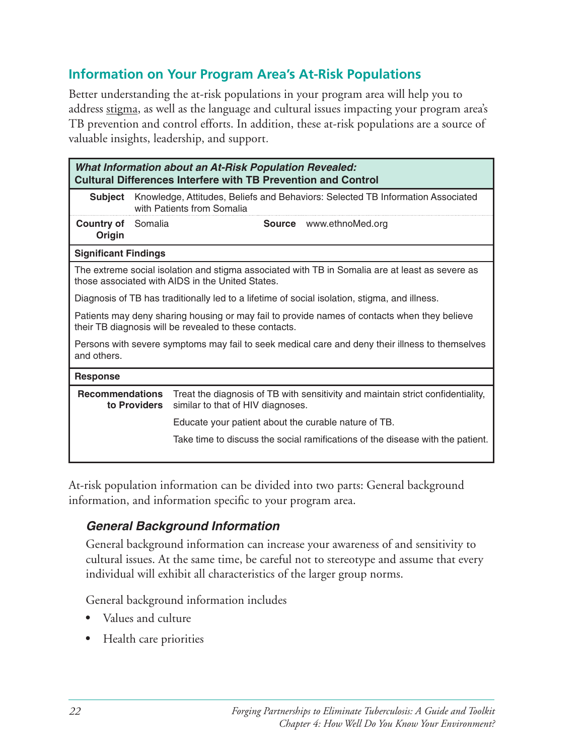# **Information on Your Program Area's At-Risk Populations**

Better understanding the at-risk populations in your program area will help you to address stigma, as well as the language and cultural issues impacting your program area's TB prevention and control efforts. In addition, these at-risk populations are a source of valuable insights, leadership, and support.

| <b>What Information about an At-Risk Population Revealed:</b><br><b>Cultural Differences Interfere with TB Prevention and Control</b>                  |                                                                                                               |                                                                                                                      |  |  |
|--------------------------------------------------------------------------------------------------------------------------------------------------------|---------------------------------------------------------------------------------------------------------------|----------------------------------------------------------------------------------------------------------------------|--|--|
| Subject                                                                                                                                                | Knowledge, Attitudes, Beliefs and Behaviors: Selected TB Information Associated<br>with Patients from Somalia |                                                                                                                      |  |  |
| <b>Country of</b> Somalia<br>Origin                                                                                                                    |                                                                                                               | Source www.ethnoMed.org                                                                                              |  |  |
| <b>Significant Findings</b>                                                                                                                            |                                                                                                               |                                                                                                                      |  |  |
| The extreme social isolation and stigma associated with TB in Somalia are at least as severe as<br>those associated with AIDS in the United States.    |                                                                                                               |                                                                                                                      |  |  |
| Diagnosis of TB has traditionally led to a lifetime of social isolation, stigma, and illness.                                                          |                                                                                                               |                                                                                                                      |  |  |
| Patients may deny sharing housing or may fail to provide names of contacts when they believe<br>their TB diagnosis will be revealed to these contacts. |                                                                                                               |                                                                                                                      |  |  |
| Persons with severe symptoms may fail to seek medical care and deny their illness to themselves<br>and others.                                         |                                                                                                               |                                                                                                                      |  |  |
| <b>Response</b>                                                                                                                                        |                                                                                                               |                                                                                                                      |  |  |
| <b>Recommendations</b>                                                                                                                                 | to Providers                                                                                                  | Treat the diagnosis of TB with sensitivity and maintain strict confidentiality,<br>similar to that of HIV diagnoses. |  |  |
|                                                                                                                                                        |                                                                                                               | Educate your patient about the curable nature of TB.                                                                 |  |  |
|                                                                                                                                                        |                                                                                                               | Take time to discuss the social ramifications of the disease with the patient.                                       |  |  |

At-risk population information can be divided into two parts: General background information, and information specific to your program area.

# *General Background Information*

General background information can increase your awareness of and sensitivity to cultural issues. At the same time, be careful not to stereotype and assume that every individual will exhibit all characteristics of the larger group norms.

General background information includes

- Values and culture
- Health care priorities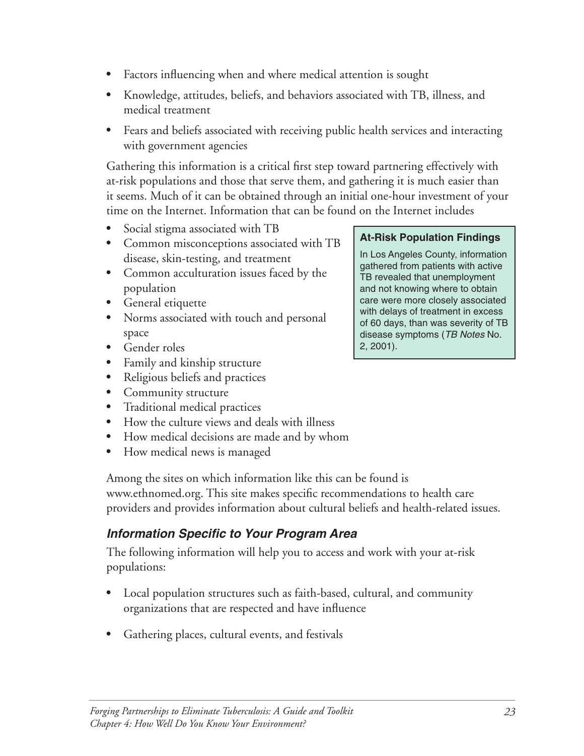- Factors influencing when and where medical attention is sought
- Knowledge, attitudes, beliefs, and behaviors associated with TB, illness, and medical treatment
- Fears and beliefs associated with receiving public health services and interacting with government agencies

Gathering this information is a critical first step toward partnering effectively with at-risk populations and those that serve them, and gathering it is much easier than it seems. Much of it can be obtained through an initial one-hour investment of your time on the Internet. Information that can be found on the Internet includes

- 
- Social stigma associated with TB<br>• Common misconceptions associated with TB<br>**At-Risk Population Findings**<br>In Los Angeles County, information
- population and not knowing where to obtain
- 
- 
- Gender roles  $\vert$  2, 2001).
- Family and kinship structure
- Religious beliefs and practices
- Community structure
- Traditional medical practices
- How the culture views and deals with illness
- How medical decisions are made and by whom
- How medical news is managed

Among the sites on which information like this can be found is www.ethnomed.org. This site makes specific recommendations to health care providers and provides information about cultural beliefs and health-related issues.

# *Information Specific to Your Program Area*

The following information will help you to access and work with your at-risk populations:

- Local population structures such as faith-based, cultural, and community organizations that are respected and have influence
- Gathering places, cultural events, and festivals

disease, skin-testing, and treatment<br>
• Common acculturation issues faced by the<br>
TB revealed that unemployment • General etiquette<br>
• Norms associated with touch and personal<br>
space<br>
of 60 days, than was severity of TB<br>
of 60 days, than was severity of TB<br>
of 60 days, than was severity of TB disease symptoms (*TB Notes* No.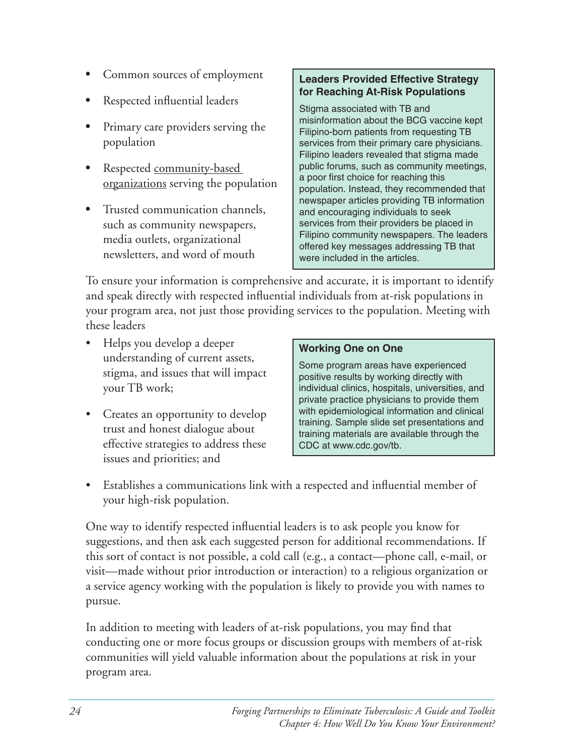- Common sources of employment
- Respected influential leaders
- Primary care providers serving the population
- Respected community-based organizations serving the population
- Frusted communication channels, such as community newspapers, media outlets, organizational newsletters, and word of mouth

### **Leaders Provided Effective Strategy for Reaching At-Risk Populations**

Stigma associated with TB and misinformation about the BCG vaccine kept Filipino-born patients from requesting TB services from their primary care physicians. Filipino leaders revealed that stigma made public forums, such as community meetings, a poor first choice for reaching this population. Instead, they recommended that newspaper articles providing TB information and encouraging individuals to seek services from their providers be placed in Filipino community newspapers. The leaders offered key messages addressing TB that were included in the articles.

To ensure your information is comprehensive and accurate, it is important to identify and speak directly with respected influential individuals from at-risk populations in your program area, not just those providing services to the population. Meeting with these leaders 

- Helps you develop a deeper understanding of current assets, stigma, and issues that will impact your TB work;
- Creates an opportunity to develop trust and honest dialogue about effective strategies to address these issues and priorities; and

### **Working One on One**

Some program areas have experienced positive results by working directly with individual clinics, hospitals, universities, and private practice physicians to provide them with epidemiological information and clinical training. Sample slide set presentations and training materials are available through the CDC at www.cdc.gov/tb.

Establishes a communications link with a respected and influential member of your high-risk population.

One way to identify respected influential leaders is to ask people you know for suggestions, and then ask each suggested person for additional recommendations. If this sort of contact is not possible, a cold call (e.g., a contact—phone call, e-mail, or visit—made without prior introduction or interaction) to a religious organization or a service agency working with the population is likely to provide you with names to pursue. 

In addition to meeting with leaders of at-risk populations, you may find that conducting one or more focus groups or discussion groups with members of at-risk communities will yield valuable information about the populations at risk in your program area.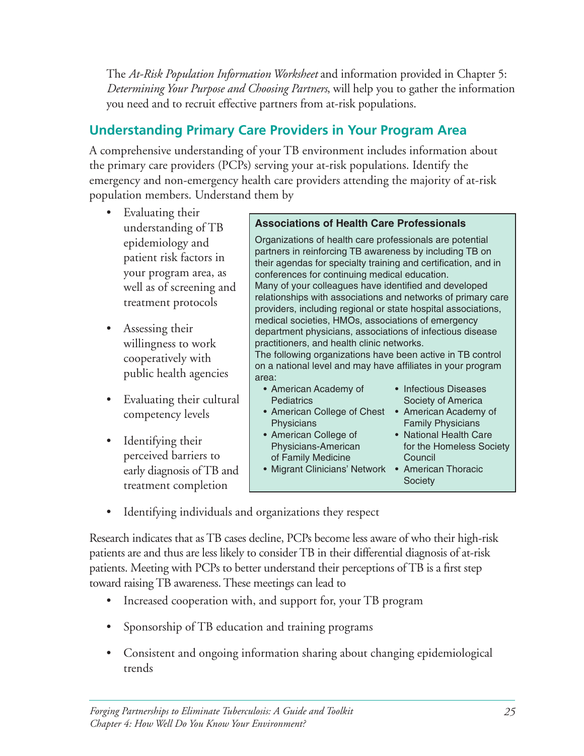The *At-Risk Population Information Worksheet* and information provided in Chapter 5: Determining Your Purpose and Choosing Partners, will help you to gather the information you need and to recruit effective partners from at-risk populations.

# **Understanding Primary Care Providers in Your Program Area**

A comprehensive understanding of your TB environment includes information about the primary care providers (PCPs) serving your at-risk populations. Identify the emergency and non-emergency health care providers attending the majority of at-risk population members. Understand them by

- 
- 
- Evaluating their cultural Pediatrics Society of America
- early diagnosis of TB and | Migrant Clinicians' Network American Thoracic ndentifying their<br>perceived barriers to and the Homeless Society<br>of Family Medicine Council Council treatment completion and the society

# Evaluating their<br>
understanding of TB **Associations of Health Care Professionals**

epidemiology and<br>
partners in reinforcing TB awareness by including TB on<br>
partners in reinforcing TB awareness by including TB on<br>
your program area, as<br>
conferences for continuing medical education. conferences for continuing medical education. well as of screening and Many of your colleagues have identified and developed<br>relationships with associations and networks of primary care treatment protocols providers, including regional or state hospital associations, medical societies, HMOs, associations of emergency Assessing their department physicians, associations of infectious disease willingness to work<br>
The following organizations have been active in TB control

Cooperatively with and the following organizations have been active in TB control cooperatively with  $\frac{1}{2}$  on a national level and may have affiliates in your program public health agencies

- American Academy of Infectious Diseases
- 
- external College of Chest American Academy of Physicians<br>
 American College of Chest American Family Physicians<br>
 American College of National Health Care Physicians-American for the Homeless Society **Family Physicians** 
	- American College of of Family Medicine
		-
- 
- Identifying individuals and organizations they respect

Research indicates that as TB cases decline, PCPs become less aware of who their high-risk patients are and thus are less likely to consider TB in their differential diagnosis of at-risk patients. Meeting with PCPs to better understand their perceptions of TB is a first step toward raising TB awareness. These meetings can lead to

- Increased cooperation with, and support for, your TB program
- Sponsorship of TB education and training programs
- Consistent and ongoing information sharing about changing epidemiological trends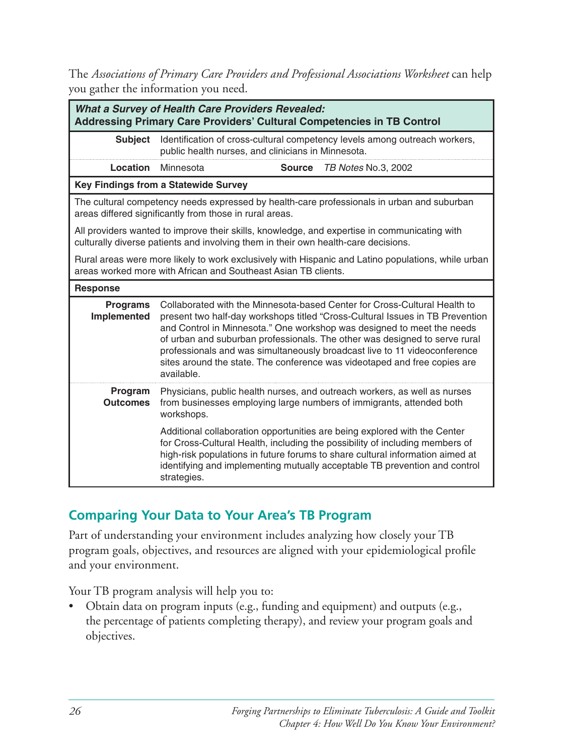The Associations of Primary Care Providers and Professional Associations Worksheet can help you gather the information you need.

| <b>What a Survey of Health Care Providers Revealed:</b><br><b>Addressing Primary Care Providers' Cultural Competencies in TB Control</b>                                           |                                                                                                                                                                                                                                                                                                                                                                                                                                                                                            |  |  |  |
|------------------------------------------------------------------------------------------------------------------------------------------------------------------------------------|--------------------------------------------------------------------------------------------------------------------------------------------------------------------------------------------------------------------------------------------------------------------------------------------------------------------------------------------------------------------------------------------------------------------------------------------------------------------------------------------|--|--|--|
| <b>Subject</b>                                                                                                                                                                     | Identification of cross-cultural competency levels among outreach workers,<br>public health nurses, and clinicians in Minnesota.                                                                                                                                                                                                                                                                                                                                                           |  |  |  |
| Location                                                                                                                                                                           | Minnesota<br><b>Source</b> TB Notes No.3, 2002                                                                                                                                                                                                                                                                                                                                                                                                                                             |  |  |  |
| Key Findings from a Statewide Survey                                                                                                                                               |                                                                                                                                                                                                                                                                                                                                                                                                                                                                                            |  |  |  |
| The cultural competency needs expressed by health-care professionals in urban and suburban<br>areas differed significantly from those in rural areas.                              |                                                                                                                                                                                                                                                                                                                                                                                                                                                                                            |  |  |  |
| All providers wanted to improve their skills, knowledge, and expertise in communicating with<br>culturally diverse patients and involving them in their own health-care decisions. |                                                                                                                                                                                                                                                                                                                                                                                                                                                                                            |  |  |  |
| Rural areas were more likely to work exclusively with Hispanic and Latino populations, while urban<br>areas worked more with African and Southeast Asian TB clients.               |                                                                                                                                                                                                                                                                                                                                                                                                                                                                                            |  |  |  |
| <b>Response</b>                                                                                                                                                                    |                                                                                                                                                                                                                                                                                                                                                                                                                                                                                            |  |  |  |
| <b>Programs</b><br>Implemented                                                                                                                                                     | Collaborated with the Minnesota-based Center for Cross-Cultural Health to<br>present two half-day workshops titled "Cross-Cultural Issues in TB Prevention<br>and Control in Minnesota." One workshop was designed to meet the needs<br>of urban and suburban professionals. The other was designed to serve rural<br>professionals and was simultaneously broadcast live to 11 videoconference<br>sites around the state. The conference was videotaped and free copies are<br>available. |  |  |  |
| Program<br><b>Outcomes</b>                                                                                                                                                         | Physicians, public health nurses, and outreach workers, as well as nurses<br>from businesses employing large numbers of immigrants, attended both<br>workshops.                                                                                                                                                                                                                                                                                                                            |  |  |  |
|                                                                                                                                                                                    | Additional collaboration opportunities are being explored with the Center<br>for Cross-Cultural Health, including the possibility of including members of<br>high-risk populations in future forums to share cultural information aimed at<br>identifying and implementing mutually acceptable TB prevention and control<br>strategies.                                                                                                                                                    |  |  |  |

# **Comparing Your Data to Your Area's TB Program**

Part of understanding your environment includes analyzing how closely your TB program goals, objectives, and resources are aligned with your epidemiological profile and your environment.

Your TB program analysis will help you to:

Obtain data on program inputs (e.g., funding and equipment) and outputs (e.g., the percentage of patients completing therapy), and review your program goals and objectives.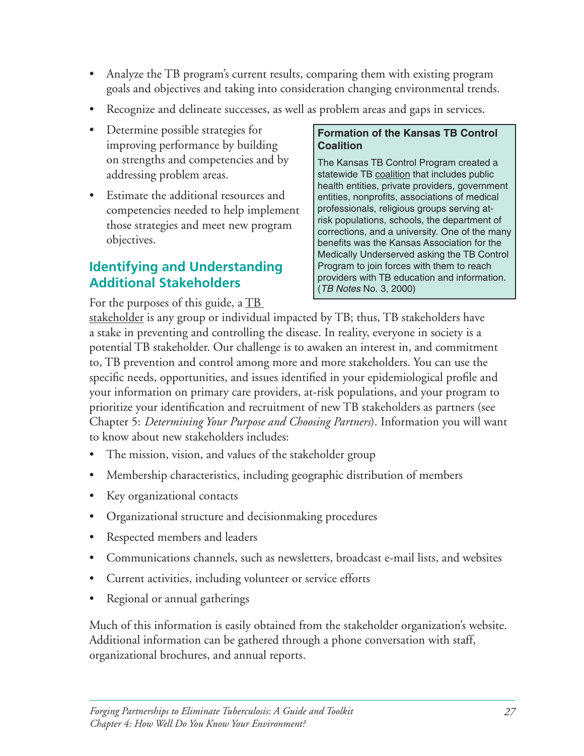- Analyze the TB program's current results, comparing them with existing program goals and objectives and taking into consideration changing environmental trends.
- Recognize and delineate successes, as well as problem areas and gaps in services.
- Determine possible strategies for improving performance by building on strengths and competencies and by addressing problem areas.
- Estimate the additional resources and competencies needed to help implement those strategies and meet new program objectives.

# **Identifying and Understanding Additional Stakeholders**

For the purposes of this guide, a  $\overline{TB}$ 

### **Formation of the Kansas TB Control Coalition**

The Kansas TB Control Program created a statewide TB coalition that includes public health entities, private providers, government entities, nonprofits, associations of medical professionals, religious groups serving atrisk populations, schools, the department of corrections, and a university. One of the many benefits was the Kansas Association for the Medically Underserved asking the TB Control Program to join forces with them to reach providers with TB education and information. (*TB Notes* No. 3, 2000)

stakeholder is any group or individual impacted by TB; thus, TB stakeholders have a stake in preventing and controlling the disease. In reality, everyone in society is a potential TB stakeholder. Our challenge is to awaken an interest in, and commitment to, TB prevention and control among more and more stakeholders. You can use the specific needs, opportunities, and issues identified in your epidemiological profile and your information on primary care providers, at-risk populations, and your program to prioritize your identification and recruitment of new TB stakeholders as partners (see Chapter 5: *Determining Your Purpose and Choosing Partners*). Information you will want to know about new stakeholders includes:

- The mission, vision, and values of the stakeholder group
- Membership characteristics, including geographic distribution of members
- Key organizational contacts
- Organizational structure and decisionmaking procedures
- Respected members and leaders
- Communications channels, such as newsletters, broadcast e-mail lists, and websites
- Current activities, including volunteer or service efforts
- Regional or annual gatherings

Much of this information is easily obtained from the stakeholder organization's website. Additional information can be gathered through a phone conversation with staff, organizational brochures, and annual reports.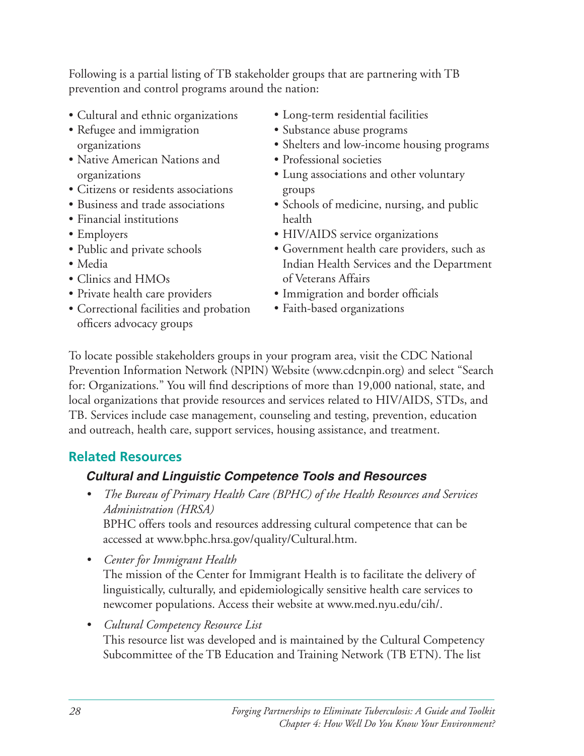Following is a partial listing of TB stakeholder groups that are partnering with TB prevention and control programs around the nation:

- Cultural and ethnic organizations
- Refugee and immigration organizations
- Native American Nations and organizations
- Citizens or residents associations
- Business and trade associations
- Financial institutions
- Employers
- Public and private schools
- Media
- Clinics and HMOs
- Private health care providers
- Correctional facilities and probation officers advocacy groups
- Long-term residential facilities
- Substance abuse programs
- Shelters and low-income housing programs
- Professional societies
- Lung associations and other voluntary groups
- Schools of medicine, nursing, and public health
- HIV/AIDS service organizations
- Government health care providers, such as Indian Health Services and the Department of Veterans Affairs
- Immigration and border officials
- Faith-based organizations

To locate possible stakeholders groups in your program area, visit the CDC National Prevention Information Network (NPIN) Website (www.cdcnpin.org) and select "Search for: Organizations." You will find descriptions of more than 19,000 national, state, and local organizations that provide resources and services related to HIV/AIDS, STDs, and TB. Services include case management, counseling and testing, prevention, education and outreach, health care, support services, housing assistance, and treatment.

# **Related Resources**

# *Cultural and Linguistic Competence Tools and Resources*

*• The Bureau of Primary Health Care (BPHC) of the Health Resources and Services Administration (HRSA)* 

BPHC offers tools and resources addressing cultural competence that can be accessed at www.bphc.hrsa.gov/quality/Cultural.htm.

*• Center for Immigrant Health* 

The mission of the Center for Immigrant Health is to facilitate the delivery of linguistically, culturally, and epidemiologically sensitive health care services to newcomer populations. Access their website at www.med.nyu.edu/cih/.

*• Cultural Competency Resource List* 

This resource list was developed and is maintained by the Cultural Competency Subcommittee of the TB Education and Training Network (TB ETN). The list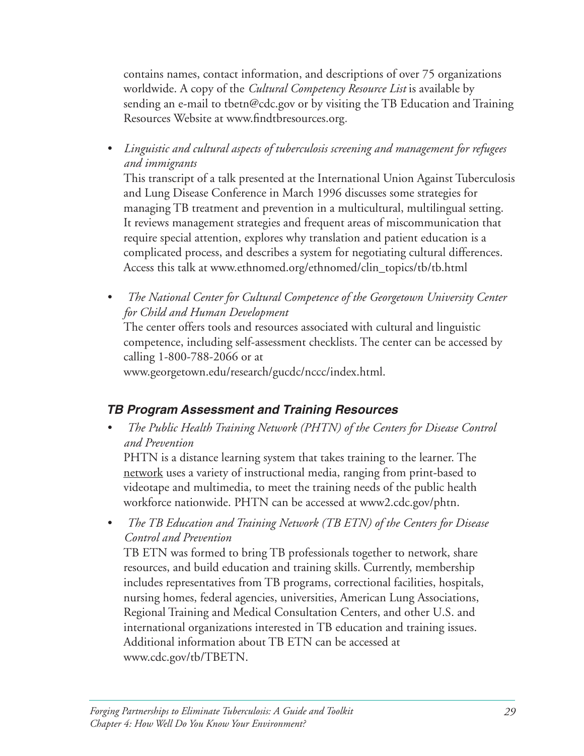contains names, contact information, and descriptions of over 75 organizations worldwide. A copy of the *Cultural Competency Resource List* is available by sending an e-mail to tbetn@cdc.gov or by visiting the TB Education and Training Resources Website at www.findtbresources.org*.* 

Linguistic and cultural aspects of tuberculosis screening and management for refugees *and immigrants* 

This transcript of a talk presented at the International Union Against Tuberculosis and Lung Disease Conference in March 1996 discusses some strategies for managing TB treatment and prevention in a multicultural, multilingual setting. It reviews management strategies and frequent areas of miscommunication that require special attention, explores why translation and patient education is a complicated process, and describes a system for negotiating cultural differences. Access this talk at www.ethnomed.org/ethnomed/clin\_topics/tb/tb.html

*The National Center for Cultural Competence of the Georgetown University Center for Child and Human Development* 

The center offers tools and resources associated with cultural and linguistic competence, including self-assessment checklists. The center can be accessed by calling  $1-800-788-2066$  or at

www.georgetown.edu/research/gucdc/nccc/index.html.

# *TB Program Assessment and Training Resources*

*The Public Health Training Network (PHTN) of the Centers for Disease Control and Prevention* 

PHTN is a distance learning system that takes training to the learner. The network uses a variety of instructional media, ranging from print-based to videotape and multimedia, to meet the training needs of the public health workforce nationwide. PHTN can be accessed at www2.cdc.gov/phtn.

*The TB Education and Training Network (TB ETN) of the Centers for Disease Control and Prevention* 

TB ETN was formed to bring TB professionals together to network, share resources, and build education and training skills. Currently, membership includes representatives from TB programs, correctional facilities, hospitals, nursing homes, federal agencies, universities, American Lung Associations, Regional Training and Medical Consultation Centers, and other U.S. and international organizations interested in TB education and training issues. Additional information about TB ETN can be accessed at www.cdc.gov/tb/TBETN.